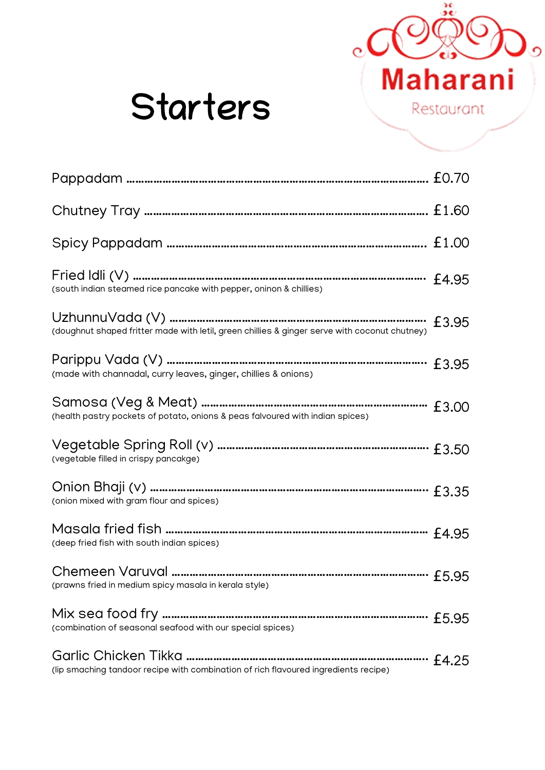

# Starters

| (south indian steamed rice pancake with pepper, oninon & chillies)                            |       |
|-----------------------------------------------------------------------------------------------|-------|
| (doughnut shaped fritter made with letil, green chillies & ginger serve with coconut chutney) | £3.95 |
| (made with channadal, curry leaves, ginger, chillies & onions)                                | £3.95 |
| (health pastry pockets of potato, onions & peas falvoured with indian spices)                 |       |
| (vegetable filled in crispy pancakge)                                                         |       |
| (onion mixed with gram flour and spices)                                                      |       |
| (deep fried fish with south indian spices)                                                    |       |
| (prawns fried in medium spicy masala in kerala style)                                         |       |
| (combination of seasonal seafood with our special spices)                                     |       |
| (lip smaching tandoor recipe with combination of rich flavoured ingredients recipe)           |       |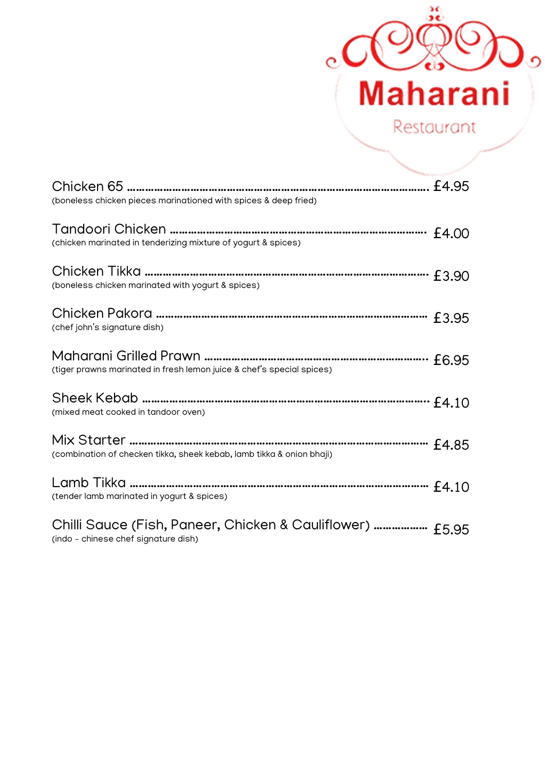

| (boneless chicken pieces marinationed with spices & deep fried)                                   |  |
|---------------------------------------------------------------------------------------------------|--|
| (chicken marinated in tenderizing mixture of yogurt & spices)                                     |  |
| (boneless chicken marinated with yogurt & spices)                                                 |  |
| (chef john's signature dish)                                                                      |  |
| (tiger prawns marinated in fresh lemon juice & chef's special spices)                             |  |
| (mixed meat cooked in tandoor oven)                                                               |  |
| (combination of checken tikka, sheek kebab, lamb tikka & onion bhaji)                             |  |
| (tender lamb marinated in yogurt & spices)                                                        |  |
| Chilli Sauce (Fish, Paneer, Chicken & Cauliflower)  £5.95<br>(indo - chinese chef signature dish) |  |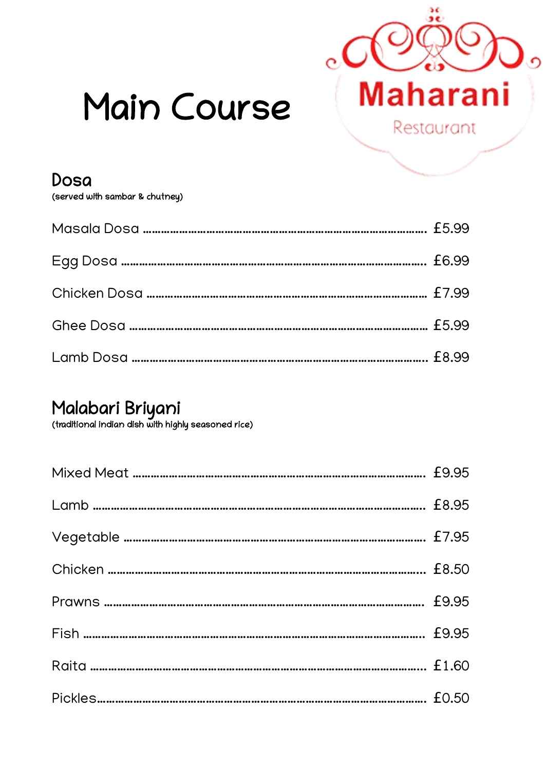

# Main Course

Dosa

(served with sambar & chutney)

#### Malabari Briyani

(traditional indian dish with highly seasoned rice)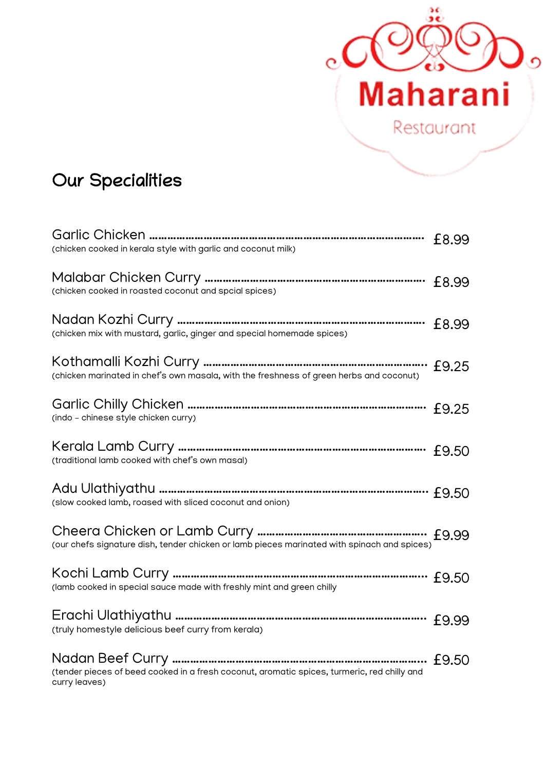

## Our Specialities

| (chicken cooked in kerala style with garlic and coconut milk)                                                | £8.99 |
|--------------------------------------------------------------------------------------------------------------|-------|
| (chicken cooked in roasted coconut and spcial spices)                                                        |       |
| (chicken mix with mustard, garlic, ginger and special homemade spices)                                       | £8.99 |
| (chicken marinated in chef's own masala, with the freshness of green herbs and coconut)                      |       |
| (indo - chinese style chicken curry)                                                                         | £9.25 |
| (traditional lamb cooked with chef's own masal)                                                              | £9.50 |
| (slow cooked lamb, roased with sliced coconut and onion)                                                     |       |
| (our chefs signature dish, tender chicken or lamb pieces marinated with spinach and spices)                  |       |
| (lamb cooked in special sauce made with freshly mint and green chilly                                        |       |
| (truly homestyle delicious beef curry from kerala)                                                           |       |
| (tender pieces of beed cooked in a fresh coconut, aromatic spices, turmeric, red chilly and<br>curry leaves) |       |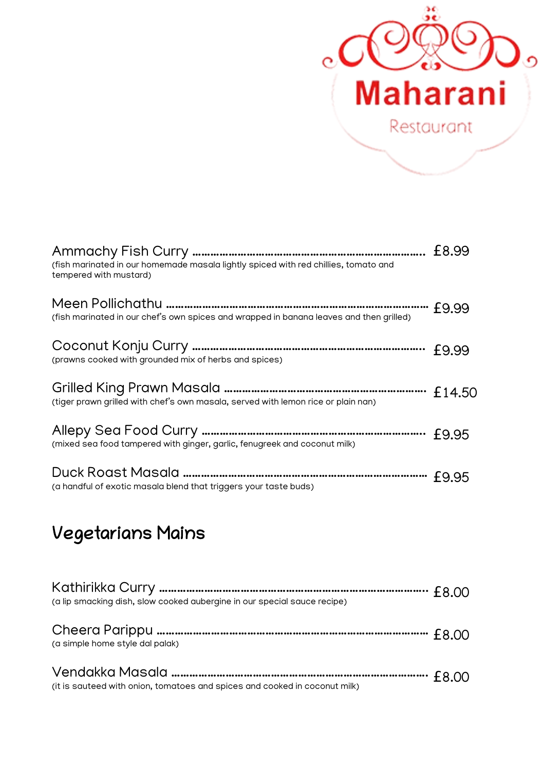

| (fish marinated in our homemade masala lightly spiced with red chillies, tomato and<br>tempered with mustard) | £8.99  |
|---------------------------------------------------------------------------------------------------------------|--------|
| (fish marinated in our chef's own spices and wrapped in banana leaves and then grilled)                       | £9.99  |
| (prawns cooked with grounded mix of herbs and spices)                                                         | £9.99  |
| (tiger prawn grilled with chef's own masala, served with lemon rice or plain nan)                             | £14.50 |
| (mixed sea food tampered with ginger, garlic, fenugreek and coconut milk)                                     | £9.95  |
| (a handful of exotic masala blend that triggers your taste buds)                                              | £9.95  |

# Vegetarians Mains

| (a lip smacking dish, slow cooked aubergine in our special sauce recipe)   |  |
|----------------------------------------------------------------------------|--|
| (a simple home style dal palak)                                            |  |
| (it is sauteed with onion, tomatoes and spices and cooked in coconut milk) |  |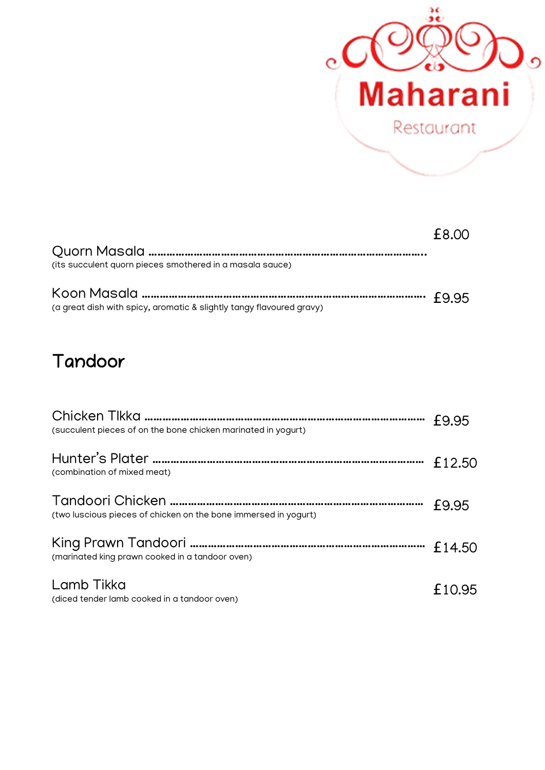

|                                                          | £8.00 |
|----------------------------------------------------------|-------|
| Ouorn Masala ………………………………………………………………………………………           |       |
| (its succulent quorn pieces smothered in a masala sauce) |       |
|                                                          |       |

Koon Masala …………………………………………………………………………………. £0.709.95 (a great dish with spicy, aromatic & slightly tangy flavoured gravy)

#### Tandoor

| (succulent pieces of on the bone chicken marinated in yogurt)   | £9.95  |
|-----------------------------------------------------------------|--------|
| (combination of mixed meat)                                     | £12.50 |
| (two luscious pieces of chicken on the bone immersed in yogurt) | £9.95  |
| (marinated king prawn cooked in a tandoor oven)                 | £14.50 |
| Lamb Tikka<br>(diced tender lamb cooked in a tandoor oven)      | £10.95 |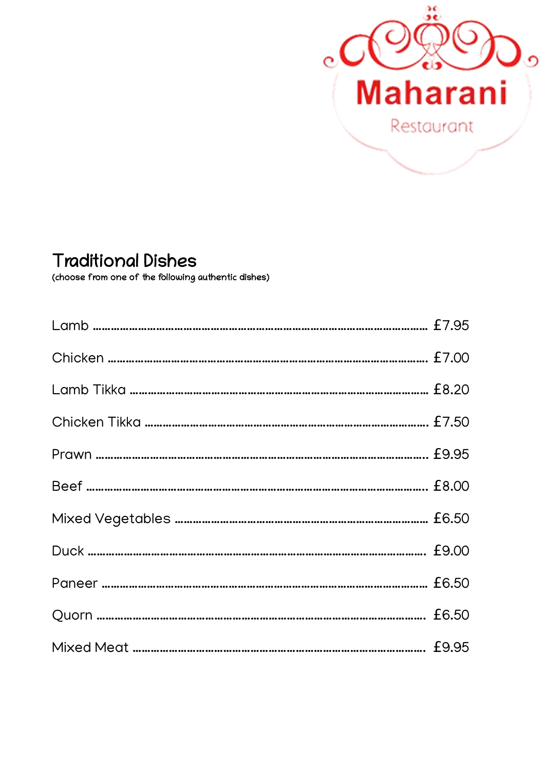

#### Traditional Dishes

(choose from one of the following authentic dishes)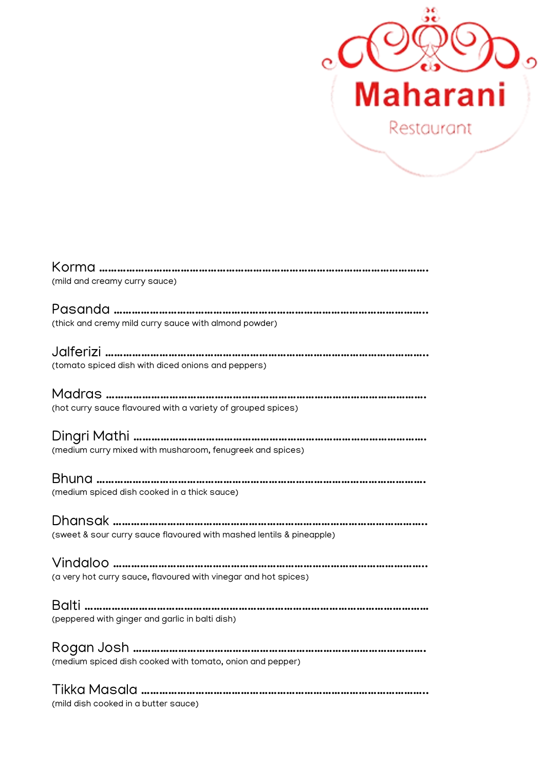

| (mild and creamy curry sauce)                                                                                     |
|-------------------------------------------------------------------------------------------------------------------|
| (thick and cremy mild curry sauce with almond powder)                                                             |
| (tomato spiced dish with diced onions and peppers)                                                                |
| (hot curry sauce flavoured with a variety of grouped spices)                                                      |
| (medium curry mixed with musharoom, fenugreek and spices)                                                         |
| Bhuna ………………………………………………………………………………………<br>(medium spiced dish cooked in a thick sauce)                           |
| Dhansak ………………………………………………………………………………………<br>(sweet & sour curry sauce flavoured with mashed lentils & pineapple) |
| (a very hot curry sauce, flavoured with vinegar and hot spices)                                                   |
| (peppered with ginger and garlic in balti dish)                                                                   |
| (medium spiced dish cooked with tomato, onion and pepper)                                                         |
| Tikka Masala ……………………………………………………………………………………<br>(mild dish cooked in a butter sauce)                             |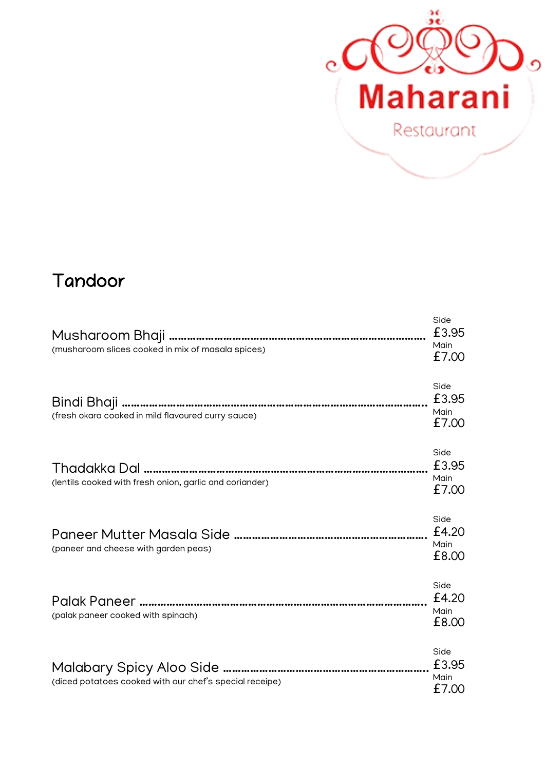

### Tandoor

| (musharoom slices cooked in mix of masala spices)       | Side<br>£3.95<br>Main<br>£7.00 |
|---------------------------------------------------------|--------------------------------|
| (fresh okara cooked in mild flavoured curry sauce)      | Side<br>£3.95<br>Main<br>£7.00 |
| (lentils cooked with fresh onion, garlic and coriander) | Side<br>£3.95<br>Main<br>£7.00 |
| (paneer and cheese with garden peas)                    | Side<br>£4.20<br>Main<br>£8.00 |
| (palak paneer cooked with spinach)                      | Side<br>£4.20<br>Main<br>£8.00 |
| (diced potatoes cooked with our chef's special receipe) | Side<br>£3.95<br>Main<br>£7.00 |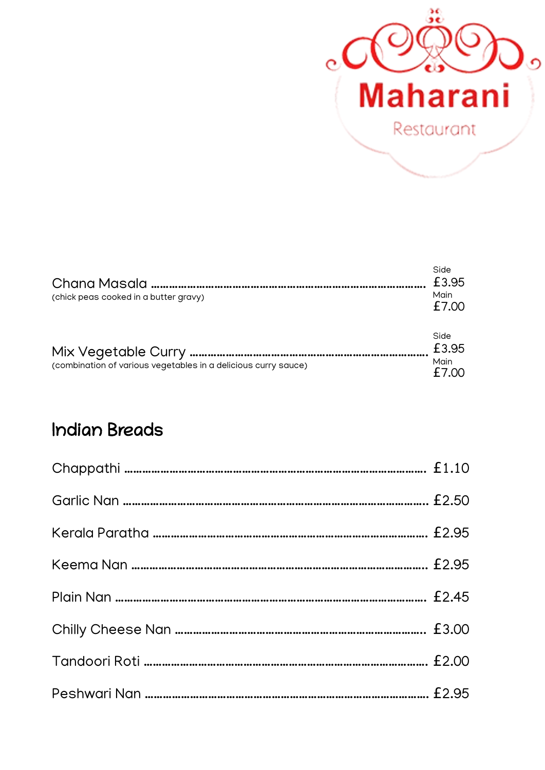

| Chana Masala …………………………………………………………………<br>(chick peas cooked in a butter gravy) | Side<br>£3.95<br>Main<br>£7.00 |
|---------------------------------------------------------------------------------|--------------------------------|
| (combination of various vegetables in a delicious curry sauce)                  | Side<br>£3.95<br>Main<br>£7.00 |

#### Indian Breads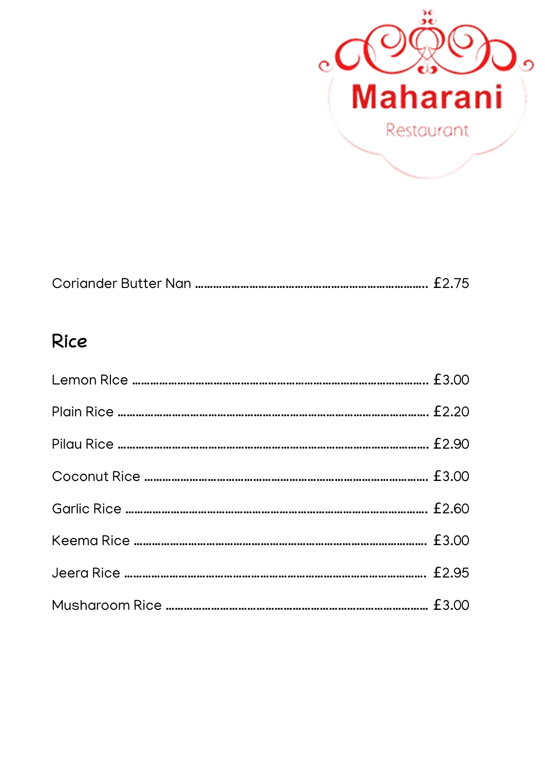

|--|--|--|--|

#### Rice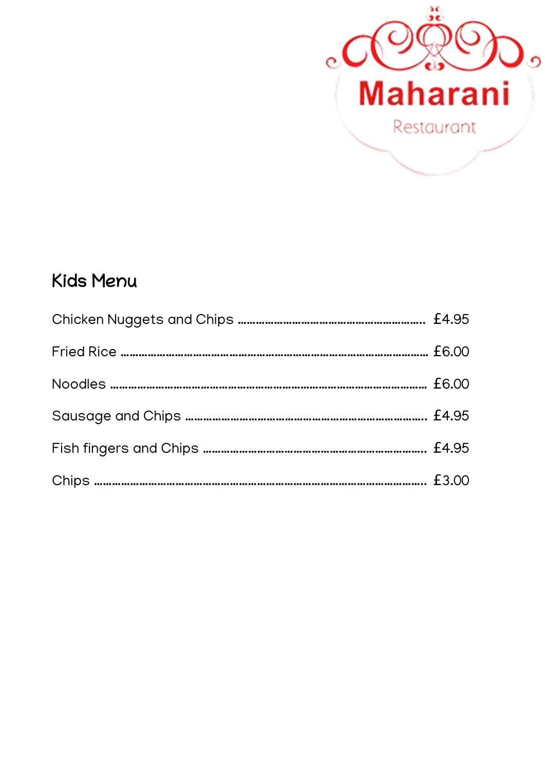

## Kids Menu